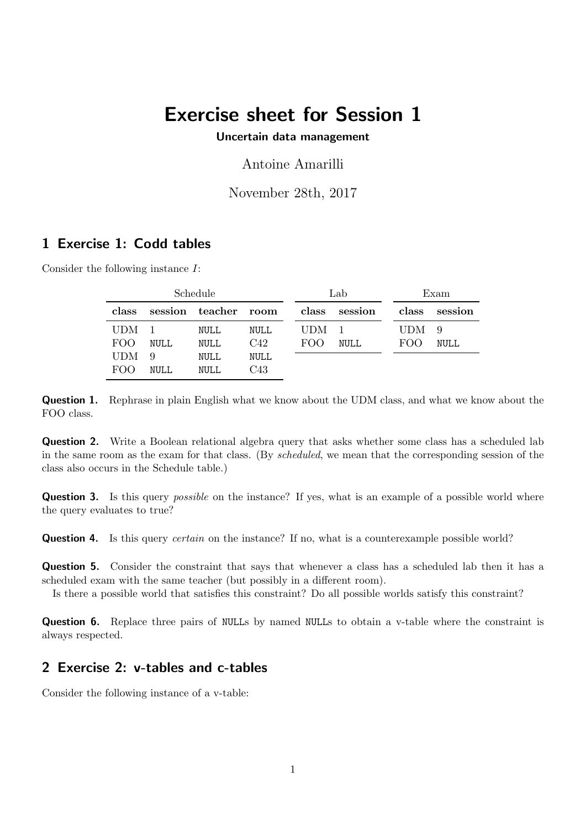## Exercise sheet for Session 1

Uncertain data management

Antoine Amarilli

November 28th, 2017

## 1 Exercise 1: Codd tables

Consider the following instance I:

| Schedule         |             |                      |      | Lab              |               | Exam             |               |
|------------------|-------------|----------------------|------|------------------|---------------|------------------|---------------|
| class            |             | session teacher room |      |                  | class session |                  | class session |
| UDM <sub>1</sub> |             | NULL                 | NULL | UDM <sub>1</sub> |               | UDM <sub>9</sub> |               |
| FOO              | NULL        | NULL                 | C42  | FOO.             | <b>NULL</b>   | FOO              | <b>NULL</b>   |
| <b>UDM</b>       | 9           | NULL                 | NULL |                  |               |                  |               |
| FOO              | <b>NULL</b> | NULL                 | C43  |                  |               |                  |               |

Question 1. Rephrase in plain English what we know about the UDM class, and what we know about the FOO class.

**Question 2.** Write a Boolean relational algebra query that asks whether some class has a scheduled lab in the same room as the exam for that class. (By scheduled, we mean that the corresponding session of the class also occurs in the Schedule table.)

**Question 3.** Is this query *possible* on the instance? If yes, what is an example of a possible world where the query evaluates to true?

**Question 4.** Is this query *certain* on the instance? If no, what is a counterexample possible world?

Question 5. Consider the constraint that says that whenever a class has a scheduled lab then it has a scheduled exam with the same teacher (but possibly in a different room).

Is there a possible world that satisfies this constraint? Do all possible worlds satisfy this constraint?

**Question 6.** Replace three pairs of NULLs by named NULLs to obtain a v-table where the constraint is always respected.

## 2 Exercise 2: v-tables and c-tables

Consider the following instance of a v-table: